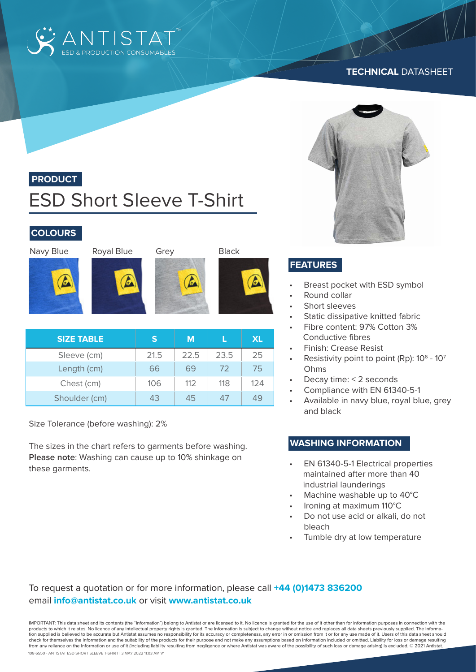

#### **TECHNICAL** DATASHEET



# **PRODUCT**

# ESD Short Sleeve T-Shirt

## **COLOURS**

Navy Blue Royal Blue Grey Black













| <b>SIZE TABLE</b> | $\mathbf{s}$ | M    |      | <b>XL</b> |
|-------------------|--------------|------|------|-----------|
| Sleeve (cm)       | 21.5         | 22.5 | 23.5 | 25        |
| Length (cm)       | 66           | 69   | 72   | 75        |
| Chest (cm)        | 106          | 112  | 118  | 124       |
| Shoulder (cm)     | 43           | 45   |      | 49        |

Size Tolerance (before washing): 2%

The sizes in the chart refers to garments before washing. **Please note**: Washing can cause up to 10% shinkage on these garments.

# **FEATURES**

- Breast pocket with ESD symbol
- Round collar
- Short sleeves
- Static dissipative knitted fabric
- Fibre content: 97% Cotton 3% Conductive fibres
- Finish: Crease Resist
- Resistivity point to point (Rp): 10<sup>6</sup> 10<sup>7</sup> Ohms
- Decay time: < 2 seconds
- Compliance with EN 61340-5-1
- Available in navy blue, royal blue, grey and black

#### **WASHING INFORMATION**

- EN 61340-5-1 Electrical properties maintained after more than 40 industrial launderings
- Machine washable up to 40°C
- Ironing at maximum 110°C
- Do not use acid or alkali, do not bleach
- Tumble dry at low temperature

### To request a quotation or for more information, please call **+44 (0)1473 836200** email **info@antistat.co.uk** or visit **www.antistat.co.uk**

108-6550 - Antistat ESD Short Sleeve T-Shirt | 3 May 2022 11:03 am V1 IMPORTANT: This data sheet and its contents (the "Information") belong to Antistat or are licensed to it. No licence is granted for the use of it other than for information purposes in connection with the products to which it relates. No licence of any intellectual property rights is granted. The Information is subject to change without notice and replaces all data sheets previously supplied. The Information supplied is believed to be accurate but Antistat assumes no responsibility for its accuracy or completeness, any error in or omission from it or for any use made of it. Users of this data sheet should check for themselves the Information and the suitability of the products for their purpose and not make any assumptions based on information included or omitted. Liability for loss or damage resulting from any reliance on the Information or use of it (including liability resulting from negligence or where Antistat was aware of the possibility of such loss or damage arising) is excluded. © 2021 Antistat.